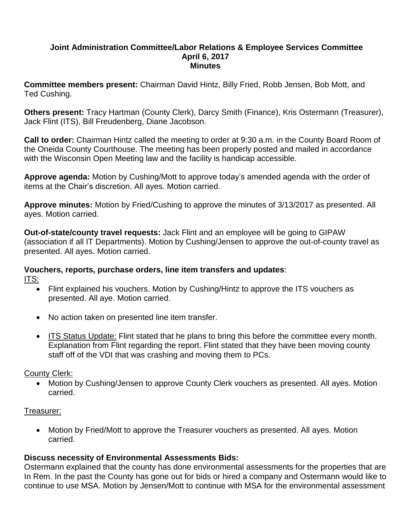#### **Joint Administration Committee/Labor Relations & Employee Services Committee April 6, 2017 Minutes**

**Committee members present:** Chairman David Hintz, Billy Fried, Robb Jensen, Bob Mott, and Ted Cushing.

**Others present:** Tracy Hartman (County Clerk), Darcy Smith (Finance), Kris Ostermann (Treasurer), Jack Flint (ITS), Bill Freudenberg, Diane Jacobson.

**Call to order:** Chairman Hintz called the meeting to order at 9:30 a.m. in the County Board Room of the Oneida County Courthouse. The meeting has been properly posted and mailed in accordance with the Wisconsin Open Meeting law and the facility is handicap accessible.

**Approve agenda:** Motion by Cushing/Mott to approve today's amended agenda with the order of items at the Chair's discretion. All ayes. Motion carried.

**Approve minutes:** Motion by Fried/Cushing to approve the minutes of 3/13/2017 as presented. All ayes. Motion carried.

**Out-of-state/county travel requests:** Jack Flint and an employee will be going to GIPAW (association if all IT Departments). Motion by Cushing/Jensen to approve the out-of-county travel as presented. All ayes. Motion carried.

## **Vouchers, reports, purchase orders, line item transfers and updates**: ITS:

- Flint explained his vouchers. Motion by Cushing/Hintz to approve the ITS vouchers as presented. All aye. Motion carried.
- No action taken on presented line item transfer.
- ITS Status Update: Flint stated that he plans to bring this before the committee every month. Explanation from Flint regarding the report. Flint stated that they have been moving county staff off of the VDI that was crashing and moving them to PCs.

### County Clerk:

 Motion by Cushing/Jensen to approve County Clerk vouchers as presented. All ayes. Motion carried.

### Treasurer:

• Motion by Fried/Mott to approve the Treasurer vouchers as presented. All ayes. Motion carried.

# **Discuss necessity of Environmental Assessments Bids:**

Ostermann explained that the county has done environmental assessments for the properties that are In Rem. In the past the County has gone out for bids or hired a company and Ostermann would like to continue to use MSA. Motion by Jensen/Mott to continue with MSA for the environmental assessment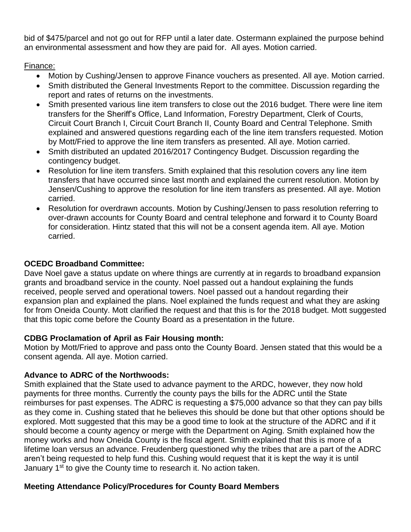bid of \$475/parcel and not go out for RFP until a later date. Ostermann explained the purpose behind an environmental assessment and how they are paid for. All ayes. Motion carried.

# Finance:

- Motion by Cushing/Jensen to approve Finance vouchers as presented. All aye. Motion carried.
- Smith distributed the General Investments Report to the committee. Discussion regarding the report and rates of returns on the investments.
- Smith presented various line item transfers to close out the 2016 budget. There were line item transfers for the Sheriff's Office, Land Information, Forestry Department, Clerk of Courts, Circuit Court Branch I, Circuit Court Branch II, County Board and Central Telephone. Smith explained and answered questions regarding each of the line item transfers requested. Motion by Mott/Fried to approve the line item transfers as presented. All aye. Motion carried.
- Smith distributed an updated 2016/2017 Contingency Budget. Discussion regarding the contingency budget.
- Resolution for line item transfers. Smith explained that this resolution covers any line item transfers that have occurred since last month and explained the current resolution. Motion by Jensen/Cushing to approve the resolution for line item transfers as presented. All aye. Motion carried.
- Resolution for overdrawn accounts. Motion by Cushing/Jensen to pass resolution referring to over-drawn accounts for County Board and central telephone and forward it to County Board for consideration. Hintz stated that this will not be a consent agenda item. All aye. Motion carried.

# **OCEDC Broadband Committee:**

Dave Noel gave a status update on where things are currently at in regards to broadband expansion grants and broadband service in the county. Noel passed out a handout explaining the funds received, people served and operational towers. Noel passed out a handout regarding their expansion plan and explained the plans. Noel explained the funds request and what they are asking for from Oneida County. Mott clarified the request and that this is for the 2018 budget. Mott suggested that this topic come before the County Board as a presentation in the future.

# **CDBG Proclamation of April as Fair Housing month:**

Motion by Mott/Fried to approve and pass onto the County Board. Jensen stated that this would be a consent agenda. All aye. Motion carried.

# **Advance to ADRC of the Northwoods:**

Smith explained that the State used to advance payment to the ARDC, however, they now hold payments for three months. Currently the county pays the bills for the ADRC until the State reimburses for past expenses. The ADRC is requesting a \$75,000 advance so that they can pay bills as they come in. Cushing stated that he believes this should be done but that other options should be explored. Mott suggested that this may be a good time to look at the structure of the ADRC and if it should become a county agency or merge with the Department on Aging. Smith explained how the money works and how Oneida County is the fiscal agent. Smith explained that this is more of a lifetime loan versus an advance. Freudenberg questioned why the tribes that are a part of the ADRC aren't being requested to help fund this. Cushing would request that it is kept the way it is until January 1<sup>st</sup> to give the County time to research it. No action taken.

# **Meeting Attendance Policy/Procedures for County Board Members**